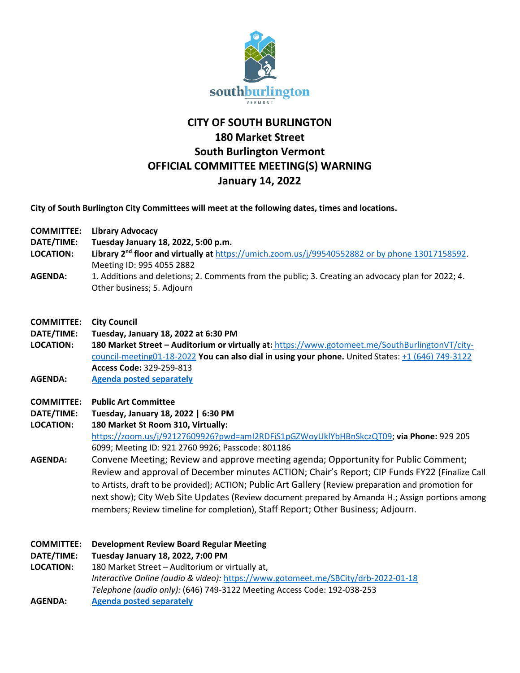

## **CITY OF SOUTH BURLINGTON 180 Market Street South Burlington Vermont OFFICIAL COMMITTEE MEETING(S) WARNING January 14, 2022**

**City of South Burlington City Committees will meet at the following dates, times and locations.** 

- **COMMITTEE: Library Advocacy**
- **DATE/TIME: Tuesday January 18, 2022, 5:00 p.m.**
- **LOCATION: Library 2nd floor and virtually at** [https://umich.zoom.us/j/99540552882](https://umich.zoom.us/j/99540552882%20or%20by%20phone%2013017158592) or by phone 13017158592. Meeting ID: 995 4055 2882
- **AGENDA:** 1. Additions and deletions; 2. Comments from the public; 3. Creating an advocacy plan for 2022; 4. Other business; 5. Adjourn
- **COMMITTEE: City Council**
- **DATE/TIME: Tuesday, January 18, 2022 at 6:30 PM**
- **LOCATION: 180 Market Street – Auditorium or virtually at:** [https://www.gotomeet.me/SouthBurlingtonVT/city](https://www.gotomeet.me/SouthBurlingtonVT/city-council-meeting01-18-2022)[council-meeting01-18-2022](https://www.gotomeet.me/SouthBurlingtonVT/city-council-meeting01-18-2022) **You can also dial in using your phone.** United States: [+1 \(646\) 749-3122](tel:+16467493122,,329259813) **Access Code:** 329-259-813
- **AGENDA: [Agenda posted separately](https://sbvt-records.info/WebLink/DocView.aspx?id=271883&dbid=0&repo=SBurl)**
- **COMMITTEE: Public Art Committee**
- **DATE/TIME: Tuesday, January 18, 2022 | 6:30 PM**
- **LOCATION: 180 Market St Room 310, Virtually:**  [https://zoom.us/j/92127609926?pwd=amI2RDFiS1pGZWoyUklYbHBnSkczQT09;](https://zoom.us/j/92127609926?pwd=amI2RDFiS1pGZWoyUklYbHBnSkczQT09) **via Phone:** 929 205 6099; Meeting ID: 921 2760 9926; Passcode: 801186
- **AGENDA:** Convene Meeting; Review and approve meeting agenda; Opportunity for Public Comment; Review and approval of December minutes ACTION; Chair's Report; CIP Funds FY22 (Finalize Call to Artists, draft to be provided); ACTION; Public Art Gallery (Review preparation and promotion for next show); City Web Site Updates (Review document prepared by Amanda H.; Assign portions among members; Review timeline for completion), Staff Report; Other Business; Adjourn.

## **COMMITTEE: Development Review Board Regular Meeting**

## **DATE/TIME: Tuesday January 18, 2022, 7:00 PM**

- **LOCATION:** 180 Market Street Auditorium or virtually at, *Interactive Online (audio & video):* <https://www.gotomeet.me/SBCity/drb-2022-01-18> *Telephone (audio only):* (646) 749-3122 Meeting Access Code: 192-038-253
- **AGENDA: [Agenda posted](https://sbvt-records.info/WebLink/Browse.aspx?id=40952&dbid=0&repo=SBurl) separately**